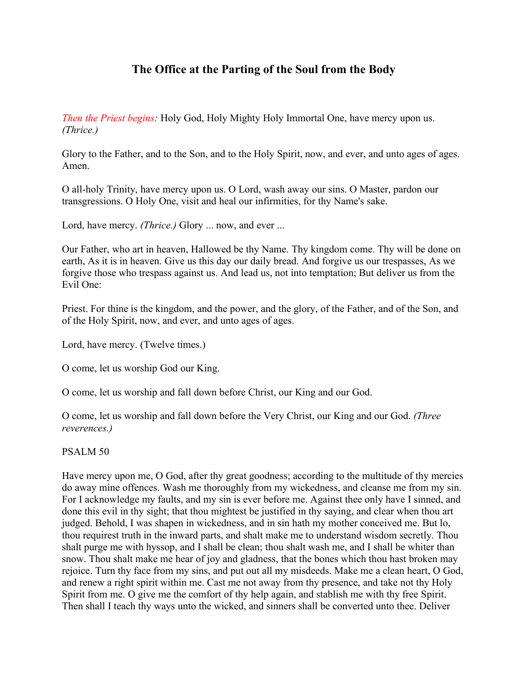# **The Office at the Parting of the Soul from the Body**

*Then the Priest begins:* Holy God, Holy Mighty Holy Immortal One, have mercy upon us. *(Thrice.)*

Glory to the Father, and to the Son, and to the Holy Spirit, now, and ever, and unto ages of ages. Amen.

O all-holy Trinity, have mercy upon us. O Lord, wash away our sins. O Master, pardon our transgressions. O Holy One, visit and heal our infirmities, for thy Name's sake.

Lord, have mercy. *(Thrice.)* Glory ... now, and ever ...

Our Father, who art in heaven, Hallowed be thy Name. Thy kingdom come. Thy will be done on earth, As it is in heaven. Give us this day our daily bread. And forgive us our trespasses, As we forgive those who trespass against us. And lead us, not into temptation; But deliver us from the Evil One:

Priest. For thine is the kingdom, and the power, and the glory, of the Father, and of the Son, and of the Holy Spirit, now, and ever, and unto ages of ages.

Lord, have mercy. (Twelve times.)

O come, let us worship God our King.

O come, let us worship and fall down before Christ, our King and our God.

O come, let us worship and fall down before the Very Christ, our King and our God. *(Three reverences.)*

PSALM 50

Have mercy upon me, O God, after thy great goodness; according to the multitude of thy mercies do away mine offences. Wash me thoroughly from my wickedness, and cleanse me from my sin. For I acknowledge my faults, and my sin is ever before me. Against thee only have I sinned, and done this evil in thy sight; that thou mightest be justified in thy saying, and clear when thou art judged. Behold, I was shapen in wickedness, and in sin hath my mother conceived me. But lo, thou requirest truth in the inward parts, and shalt make me to understand wisdom secretly. Thou shalt purge me with hyssop, and I shall be clean; thou shalt wash me, and I shall be whiter than snow. Thou shalt make me hear of joy and gladness, that the bones which thou hast broken may rejoice. Turn thy face from my sins, and put out all my misdeeds. Make me a clean heart, O God, and renew a right spirit within me. Cast me not away from thy presence, and take not thy Holy Spirit from me. O give me the comfort of thy help again, and stablish me with thy free Spirit. Then shall I teach thy ways unto the wicked, and sinners shall be converted unto thee. Deliver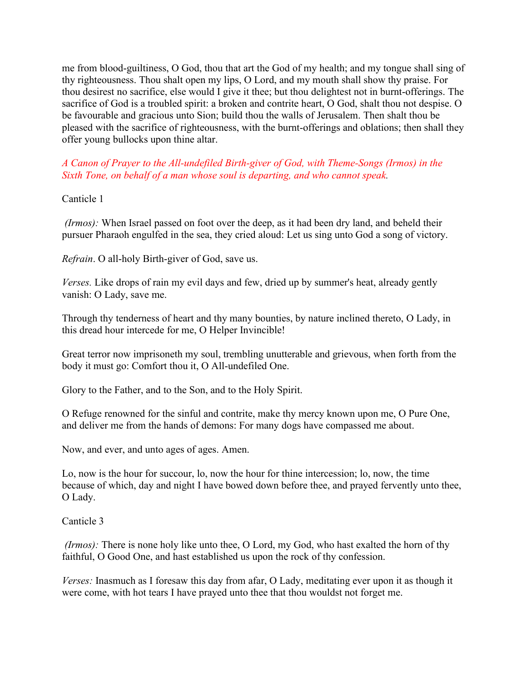me from blood-guiltiness, O God, thou that art the God of my health; and my tongue shall sing of thy righteousness. Thou shalt open my lips, O Lord, and my mouth shall show thy praise. For thou desirest no sacrifice, else would I give it thee; but thou delightest not in burnt-offerings. The sacrifice of God is a troubled spirit: a broken and contrite heart, O God, shalt thou not despise. O be favourable and gracious unto Sion; build thou the walls of Jerusalem. Then shalt thou be pleased with the sacrifice of righteousness, with the burnt-offerings and oblations; then shall they offer young bullocks upon thine altar.

*A Canon of Prayer to the All-undefiled Birth-giver of God, with Theme-Songs (Irmos) in the Sixth Tone, on behalf of a man whose soul is departing, and who cannot speak.*

## Canticle 1

*(Irmos):* When Israel passed on foot over the deep, as it had been dry land, and beheld their pursuer Pharaoh engulfed in the sea, they cried aloud: Let us sing unto God a song of victory.

*Refrain*. O all-holy Birth-giver of God, save us.

*Verses.* Like drops of rain my evil days and few, dried up by summer's heat, already gently vanish: O Lady, save me.

Through thy tenderness of heart and thy many bounties, by nature inclined thereto, O Lady, in this dread hour intercede for me, O Helper Invincible!

Great terror now imprisoneth my soul, trembling unutterable and grievous, when forth from the body it must go: Comfort thou it, O All-undefiled One.

Glory to the Father, and to the Son, and to the Holy Spirit.

O Refuge renowned for the sinful and contrite, make thy mercy known upon me, O Pure One, and deliver me from the hands of demons: For many dogs have compassed me about.

Now, and ever, and unto ages of ages. Amen.

Lo, now is the hour for succour, lo, now the hour for thine intercession; lo, now, the time because of which, day and night I have bowed down before thee, and prayed fervently unto thee, O Lady.

Canticle 3

*(Irmos):* There is none holy like unto thee, O Lord, my God, who hast exalted the horn of thy faithful, O Good One, and hast established us upon the rock of thy confession.

*Verses:* Inasmuch as I foresaw this day from afar, O Lady, meditating ever upon it as though it were come, with hot tears I have prayed unto thee that thou wouldst not forget me.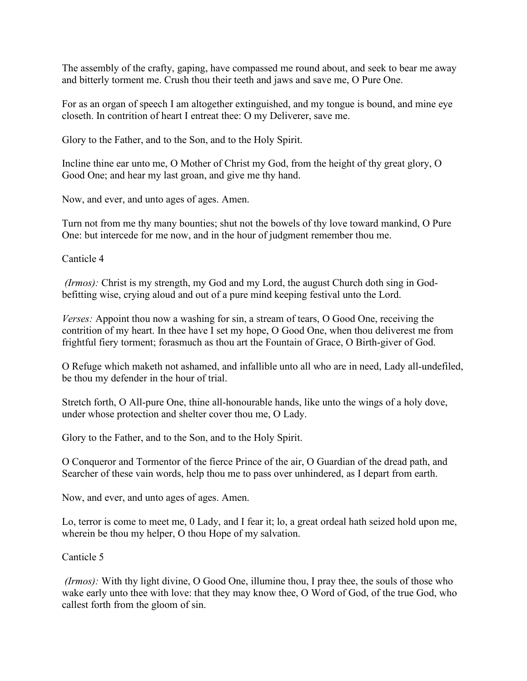The assembly of the crafty, gaping, have compassed me round about, and seek to bear me away and bitterly torment me. Crush thou their teeth and jaws and save me, O Pure One.

For as an organ of speech I am altogether extinguished, and my tongue is bound, and mine eye closeth. In contrition of heart I entreat thee: O my Deliverer, save me.

Glory to the Father, and to the Son, and to the Holy Spirit.

Incline thine ear unto me, O Mother of Christ my God, from the height of thy great glory, O Good One; and hear my last groan, and give me thy hand.

Now, and ever, and unto ages of ages. Amen.

Turn not from me thy many bounties; shut not the bowels of thy love toward mankind, O Pure One: but intercede for me now, and in the hour of judgment remember thou me.

Canticle 4

*(Irmos):* Christ is my strength, my God and my Lord, the august Church doth sing in God befitting wise, crying aloud and out of a pure mind keeping festival unto the Lord.

*Verses:* Appoint thou now a washing for sin, a stream of tears, O Good One, receiving the contrition of my heart. In thee have I set my hope, O Good One, when thou deliverest me from frightful fiery torment; forasmuch as thou art the Fountain of Grace, O Birth-giver of God.

O Refuge which maketh not ashamed, and infallible unto all who are in need, Lady all-undefiled, be thou my defender in the hour of trial.

Stretch forth, O All-pure One, thine all-honourable hands, like unto the wings of a holy dove, under whose protection and shelter cover thou me, O Lady.

Glory to the Father, and to the Son, and to the Holy Spirit.

O Conqueror and Tormentor of the fierce Prince of the air, O Guardian of the dread path, and Searcher of these vain words, help thou me to pass over unhindered, as I depart from earth.

Now, and ever, and unto ages of ages. Amen.

Lo, terror is come to meet me, 0 Lady, and I fear it; lo, a great ordeal hath seized hold upon me, wherein be thou my helper, O thou Hope of my salvation.

Canticle 5

*(Irmos):* With thy light divine, O Good One, illumine thou, I pray thee, the souls of those who wake early unto thee with love: that they may know thee, O Word of God, of the true God, who callest forth from the gloom of sin.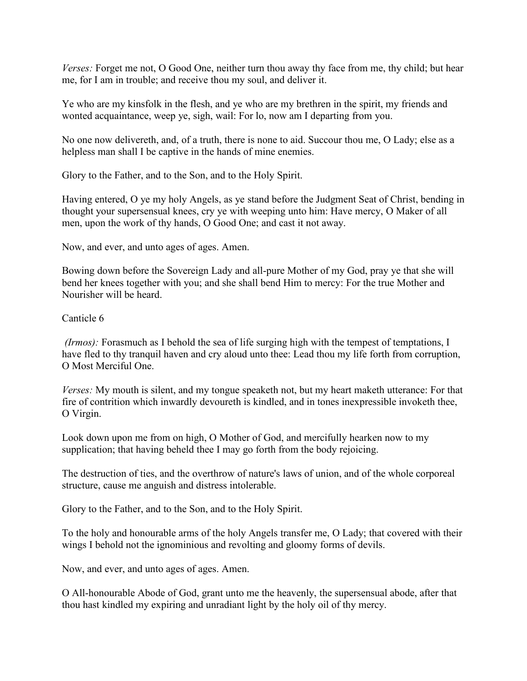*Verses:* Forget me not, O Good One, neither turn thou away thy face from me, thy child; but hear me, for I am in trouble; and receive thou my soul, and deliver it.

Ye who are my kinsfolk in the flesh, and ye who are my brethren in the spirit, my friends and wonted acquaintance, weep ye, sigh, wail: For lo, now am I departing from you.

No one now delivereth, and, of a truth, there is none to aid. Succour thou me, O Lady; else as a helpless man shall I be captive in the hands of mine enemies.

Glory to the Father, and to the Son, and to the Holy Spirit.

Having entered, O ye my holy Angels, as ye stand before the Judgment Seat of Christ, bending in thought your supersensual knees, cry ye with weeping unto him: Have mercy, O Maker of all men, upon the work of thy hands, O Good One; and cast it not away.

Now, and ever, and unto ages of ages. Amen.

Bowing down before the Sovereign Lady and all-pure Mother of my God, pray ye that she will bend her knees together with you; and she shall bend Him to mercy: For the true Mother and Nourisher will be heard.

Canticle 6

*(Irmos):* Forasmuch as I behold the sea of life surging high with the tempest of temptations, I have fled to thy tranquil haven and cry aloud unto thee: Lead thou my life forth from corruption, O Most Merciful One.

*Verses:* My mouth is silent, and my tongue speaketh not, but my heart maketh utterance: For that fire of contrition which inwardly devoureth is kindled, and in tones inexpressible invoketh thee, O Virgin.

Look down upon me from on high, O Mother of God, and mercifully hearken now to my supplication; that having beheld thee I may go forth from the body rejoicing.

The destruction of ties, and the overthrow of nature's laws of union, and of the whole corporeal structure, cause me anguish and distress intolerable.

Glory to the Father, and to the Son, and to the Holy Spirit.

To the holy and honourable arms of the holy Angels transfer me, O Lady; that covered with their wings I behold not the ignominious and revolting and gloomy forms of devils.

Now, and ever, and unto ages of ages. Amen.

O All-honourable Abode of God, grant unto me the heavenly, the supersensual abode, after that thou hast kindled my expiring and unradiant light by the holy oil of thy mercy.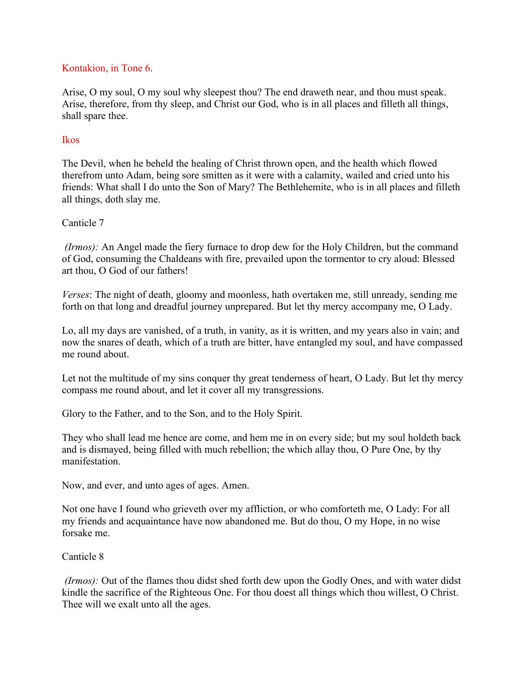## Kontakion, in Tone 6.

Arise, O my soul, O my soul why sleepest thou? The end draweth near, and thou mustspeak. Arise, therefore, from thy sleep, and Christ our God, who is in all places and filleth all things, shall spare thee.

#### Ikos

The Devil, when he beheld the healing of Christ thrown open, and the health which flowed therefrom unto Adam, being sore smitten as it were with a calamity, wailed and cried unto his friends: What shall I do unto the Son of Mary? The Bethlehemite, who is in all places and filleth all things, doth slay me.

#### Canticle 7

*(Irmos):* An Angel made the fiery furnace to drop dew for the Holy Children, but the command of God, consuming the Chaldeans with fire, prevailed upon the tormentor to cry aloud: Blessed art thou, O God of our fathers!

*Verses*: The night of death, gloomy and moonless, hath overtaken me, still unready, sending me forth on that long and dreadful journey unprepared. But let thy mercy accompany me, O Lady.

Lo, all my days are vanished, of a truth, in vanity, as it is written, and my years also in vain; and now the snares of death, which of a truth are bitter, have entangled my soul, and have compassed me round about.

Let not the multitude of my sins conquer thy great tenderness of heart, O Lady. But let thy mercy compass me round about, and let it cover all my transgressions.

Glory to the Father, and to the Son, and to the Holy Spirit.

They who shall lead me hence are come, and hem me in on every side; but my soul holdeth back and is dismayed, being filled with much rebellion; the which allay thou, O Pure One, by thy manifestation.

Now, and ever, and unto ages of ages. Amen.

Not one have I found who grieveth over my affliction, or who comforteth me, O Lady: For all my friends and acquaintance have now abandoned me. But do thou, O my Hope, in no wise forsake me.

#### Canticle 8

*(Irmos):* Out of the flames thou didst shed forth dew upon the Godly Ones, and with water didst kindle the sacrifice of the Righteous One. For thou doest all things which thou willest, O Christ. Thee will we exalt unto all the ages.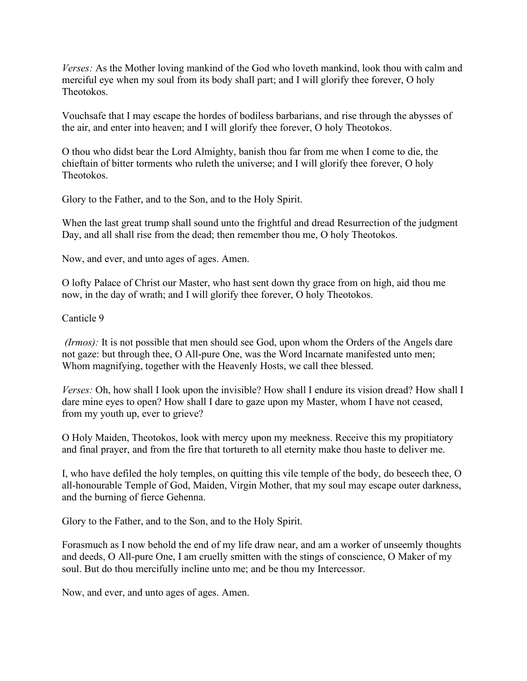*Verses:* As the Mother loving mankind of the God who loveth mankind, look thou with calm and merciful eye when my soul from its body shall part; and I will glorify thee forever, O holy Theotokos.

Vouchsafe that I may escape the hordes of bodiless barbarians, and rise through the abysses of the air, and enter into heaven; and I will glorify thee forever, O holy Theotokos.<br>O thou who didst bear the Lord Almighty, banish thou far from me when I come to die, the

chieftain of bitter torments who ruleth the universe; and I will glorify thee forever, O holy Theotokos.

Glory to the Father, and to the Son, and to the Holy Spirit.

When the last great trump shall sound unto the frightful and dread Resurrection of the judgment Day, and all shall rise from the dead; then remember thou me, O holy Theotokos.

Now, and ever, and unto ages of ages. Amen.

O lofty Palace of Christ our Master, who hast sent down thy grace from on high, aid thou me now, in the day of wrath; and I will glorify thee forever, O holy Theotokos.<br>Canticle 9

*(Irmos)*: It is not possible that men should see God, upon whom the Orders of the Angels dare not gaze: but through thee, O All-pure One, was the Word Incarnate manifested unto men; Whom magnifying, together with the Heavenly Hosts, we call thee blessed.

*Verses:* Oh, how shall I look upon the invisible? How shall I endure its vision dread? How shall I dare mine eyes to open? How shall I dare to gaze upon my Master, whom I have not ceased, from my youth up, ever to grieve?

O Holy Maiden, Theotokos, look with mercy upon my meekness. Receive this my propitiatory and final prayer, and from the fire that tortureth to all eternity make thou haste to deliver me.

I, who have defiled the holy temples, on quitting this vile temple of the body, do beseech thee, O all-honourable Temple of God, Maiden, Virgin Mother, that my soul may escape outer darkness, and the burning of fierce Gehenna.

Glory to the Father, and to the Son, and to the Holy Spirit.

Forasmuch as I now behold the end of my life draw near, and am a worker of unseemly thoughts and deeds, O All-pure One, I am cruelly smitten with the stings of conscience, O Maker of my soul. But do thou mercifully incline unto me; and be thou my Intercessor.

Now, and ever, and unto ages of ages. Amen.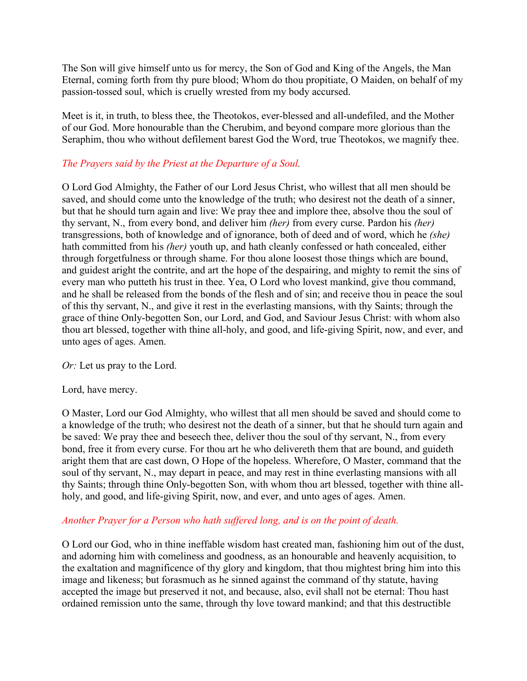The Son will give himself unto us for mercy, the Son of God and King of the Angels, the Man Eternal, coming forth from thy pure blood; Whom do thou propitiate, O Maiden, on behalf of my passion-tossed soul, which is cruelly wrested from my body accursed.

Meet is it, in truth, to bless thee, the Theotokos, ever-blessed and all-undefiled, and the Mother of our God. More honourable than the Cherubim, and beyond compare more glorious than the Seraphim, thou who without defilement barest God the Word, true Theotokos, we magnify thee.

# *The Prayers said by the Priest at the Departure of a Soul.*

O Lord GodAlmighty, the Father of our Lord Jesus Christ, who willest that all men should be saved, and should come unto the knowledge of the truth; who desirest not the death of a sinner, but that he should turn again and live: We pray thee and implore thee, absolve thou the soul of thy servant, N., from every bond, and deliver him *(her)* from every curse. Pardon his *(her)* transgressions, both of knowledge and of ignorance, both of deed and of word, which he *(she)* hath committed from his *(her)* youth up, and hath cleanly confessed or hath concealed, either through forgetfulness or through shame. For thou alone loosest those things which are bound, and guidest aright the contrite, and art the hope of the despairing, and mighty to remit the sins of every man who putteth his trust in thee. Yea, O Lord who lovest mankind, give thou command, and he shall be released from the bonds of the flesh and of sin; and receive thou in peace the soul of this thy servant, N., and give it rest in the everlasting mansions, with thy Saints; through the grace of thine Only-begotten Son, our Lord, and God, and Saviour Jesus Christ: with whom also thou art blessed, together with thine all-holy, and good, and life-giving Spirit, now, and ever, and unto ages of ages. Amen.

*Or:* Let us pray to the Lord.

Lord, have mercy.

O Master, Lord our God Almighty, who willest that all men should be saved and should come to a knowledge of the truth; who desirest not the death of a sinner, but that he should turn again and be saved: We pray thee and beseech thee, deliver thou the soul of thy servant, N., from every bond, free it from every curse. For thou art he who delivereth them that are bound, and guideth aright them that are cast down, O Hope of the hopeless.Wherefore, O Master, command that the soul of thy servant, N., may depart in peace, and may rest in thine everlasting mansions with all thy Saints; through thine Only-begotten Son, with whom thou art blessed, together with thine allholy, and good, and life-giving Spirit, now, and ever, and unto ages of ages. Amen.

## *Another Prayer for a Person who hath suf ered long, and is on the point of death.*

O Lord our God, who in thine ineffable wisdom hast created man, fashioning him out of the dust, and adorning him with comeliness and goodness, as an honourable and heavenly acquisition, to the exaltation and magnificence of thy glory and kingdom, that thou mightest bring him into this image and likeness; but forasmuch as he sinned against the command of thy statute, having accepted the image but preserved it not, and because, also, evil shall not be eternal: Thou hast ordained remission unto the same, through thy love toward mankind; and that this destructible